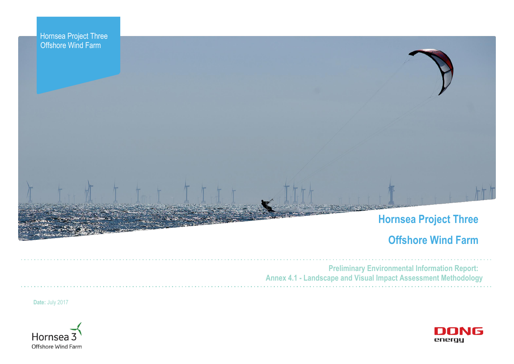



# **Hornsea Project Three**

# **Offshore Wind Farm**



**Preliminary Environmental Information Report: Annex 4.1 - Landscape and Visual Impact Assessment Methodology** 

**Date:** July 2017



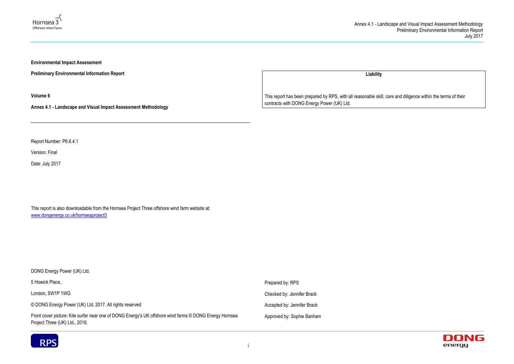



**Environmental Impact Assessment** 

**Preliminary Environmental Information Report**

**Volume 6**

**Annex 4.1 - Landscape and Visual Impact Assessment Methodology**

Report Number: P6.6.4.1

Version: Final

Date: July 2017

This report is also downloadable from the Hornsea Project Three offshore wind farm website at: www.dongenergy.co.uk/hornseaproject3

| DONG Energy Power (UK) Ltd.                                                                                                               |                             |
|-------------------------------------------------------------------------------------------------------------------------------------------|-----------------------------|
| 5 Howick Place,                                                                                                                           | Prepared by: RPS            |
| London, SW1P 1WG                                                                                                                          | Checked by: Jennifer Brack  |
| © DONG Energy Power (UK) Ltd. 2017. All rights reserved                                                                                   | Accepted by: Jennifer Brack |
| Front cover picture: Kite surfer near one of DONG Energy's UK offshore wind farms © DONG Energy Hornsea<br>Project Three (UK) Ltd., 2016. | Approved by: Sophie Banham  |



**Liability**

This report has been prepared by RPS, with all reasonable skill, care and diligence within the terms of their contracts with DONG Energy Power (UK) Ltd.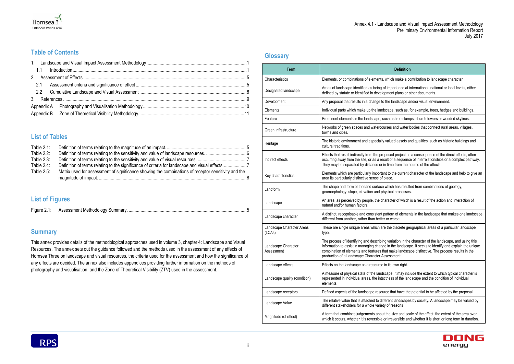#### **Definition**

vhich make a contribution to landscape character.

importance at international, national or local levels, either ment plans or other documents.

he landscape and/or visual environment.

cape, such as, for example, trees, hedges and buildings.

ch as tree clumps, church towers or wooded skylines.

ses and water bodies that connect rural areas, villages,

valued assets and qualities, such as historic buildings and

osed project as a consequence of the direct effects, often alt of a sequence of interrelationships or a complex pathway. time from the source of the effects.

t to the current character of the landscape and help to give an<br>ace.

vhich has resulted from combinations of geology, sical processes.

racter of which is a result of the action and interaction of

attern of elements in the landscape that makes one landscape or worse.

the discrete geographical areas of a particular landscape

variation in the character of the landscape, and using this in the landscape. It seeks to identify and explain the unique at make landscape distinctive. The process results in the sessment.

Landscape its own right.

ape. It may include the extent to which typical character is iness of the landscape and the condition of individual

ce that have the potential to be affected by the proposal.

rent landscapes by society. A landscape may be valued by of reasons

the size and scale of the effect, the extent of the area over irreversible and whether it is short or long term in duration.





### **Table of Contents**

### **List of Tables**

| Table $2.1$ : |                                                                                                     |  |
|---------------|-----------------------------------------------------------------------------------------------------|--|
| Table 2.2:    |                                                                                                     |  |
| Table $2.3$ : |                                                                                                     |  |
| Table $2.4$ : |                                                                                                     |  |
| Table $2.5$ : | Matrix used for assessment of significance showing the combinations of receptor sensitivity and the |  |
|               |                                                                                                     |  |

### **List of Figures**

| <b>Figure</b> | <b>IVIETNO</b><br>8116111 |
|---------------|---------------------------|
|               |                           |

### **Summary**

This annex provides details of the methodological approaches used in volume 3, chapter 4: Landscape and Visual Resources. The annex sets out the guidance followed and the methods used in the assessment of any effects of Hornsea Three on landscape and visual resources, the criteria used for the assessment and how the significance of any effects are decided. The annex also includes appendices providing further information on the methods of photography and visualisation, and the Zone of Theoretical Visibility (ZTV) used in the assessment.

### **Glossary**

| <b>Term</b>                         |                                                                                                                                                                                                |
|-------------------------------------|------------------------------------------------------------------------------------------------------------------------------------------------------------------------------------------------|
| Characteristics                     | Elements, or combinations of elements, which                                                                                                                                                   |
| Designated landscape                | Areas of landscape identified as being of impo<br>defined by statute or identified in developmen                                                                                               |
| Development                         | Any proposal that results in a change to the Ia                                                                                                                                                |
| Elements                            | Individual parts which make up the landscape                                                                                                                                                   |
| Feature                             | Prominent elements in the landscape, such a                                                                                                                                                    |
| Green Infrastructure                | Networks of green spaces and watercourses<br>towns and cities.                                                                                                                                 |
| Heritage                            | The historic environment and especially value<br>cultural traditions.                                                                                                                          |
| Indirect effects                    | Effects that result indirectly from the proposed<br>occurring away from the site, or as a result of<br>They may be separated by distance or in time                                            |
| Key characteristics                 | Elements which are particularly important to t<br>area its particularly distinctive sense of place.                                                                                            |
| Landform                            | The shape and form of the land surface which<br>geomorphology, slope, elevation and physica                                                                                                    |
| Landscape                           | An area, as perceived by people, the characte<br>natural and/or human factors.                                                                                                                 |
| Landscape character                 | A distinct, recognisable and consistent patter<br>different from another, rather than better or w                                                                                              |
| Landscape Character Areas<br>(LCAs) | These are single unique areas which are the<br>type.                                                                                                                                           |
| Landscape Character<br>Assessment   | The process of identifying and describing vari<br>information to assist in managing change in th<br>combination of elements and features that ma<br>production of a Landscape Character Assess |
| Landscape effects                   | Effects on the landscape as a resource in its                                                                                                                                                  |
| Landscape quality (condition)       | A measure of physical state of the landscape<br>represented in individual areas, the intactness<br>elements.                                                                                   |
| Landscape receptors                 | Defined aspects of the landscape resource th                                                                                                                                                   |
| Landscape Value                     | The relative value that is attached to different<br>different stakeholders for a whole variety of re                                                                                           |
| Magnitude (of effect)               | A term that combines judgements about the s<br>which it occurs, whether it is reversible or irre                                                                                               |
|                                     |                                                                                                                                                                                                |

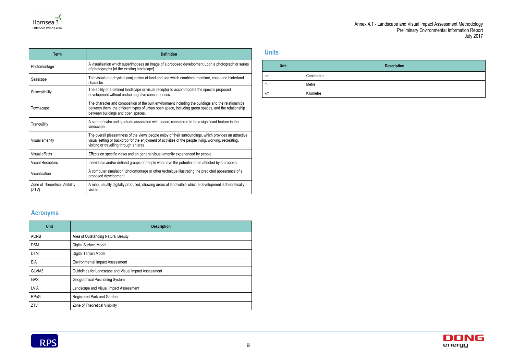| Term                                    | <b>Definition</b>                                                                                                                                                                                                                                          |  |
|-----------------------------------------|------------------------------------------------------------------------------------------------------------------------------------------------------------------------------------------------------------------------------------------------------------|--|
| Photomontage                            | A visualisation which superimposes an image of a proposed development upon a photograph or series<br>of photographs [of the existing landscape].                                                                                                           |  |
| Seascape                                | The visual and physical conjunction of land and sea which combines maritime, coast and hinterland<br>character.                                                                                                                                            |  |
| Susceptibility                          | The ability of a defined landscape or visual receptor to accommodate the specific proposed<br>development without undue negative consequences.                                                                                                             |  |
| Townscape                               | The character and composition of the built environment including the buildings and the relationships<br>between them, the different types of urban open space, including green spaces, and the relationship<br>between buildings and open spaces.          |  |
| Tranquillity                            | A state of calm and quietude associated with peace, considered to be a significant feature in the<br>landscape.                                                                                                                                            |  |
| Visual amenity                          | The overall pleasantness of the views people enjoy of their surroundings, which provides an attractive<br>visual setting or backdrop for the enjoyment of activities of the people living, working, recreating,<br>visiting or travelling through an area. |  |
| Visual effects                          | Effects on specific views and on general visual amenity experienced by people.                                                                                                                                                                             |  |
| <b>Visual Receptors</b>                 | Individuals and/or defined groups of people who have the potential to be affected by a proposal.                                                                                                                                                           |  |
| Visualisation                           | A computer simulation, photomontage or other technique illustrating the predicted appearance of a<br>proposed development.                                                                                                                                 |  |
| Zone of Theoretical Visibility<br>(ZTV) | A map, usually digitally produced, showing areas of land within which a development is theoretically<br>visible.                                                                                                                                           |  |

### **Acronyms**

| <b>Unit</b> | <b>Description</b>                                    |
|-------------|-------------------------------------------------------|
| AONB        | Area of Outstanding Natural Beauty                    |
| <b>DSM</b>  | Digital Surface Model                                 |
| <b>DTM</b>  | Digital Terrain Model                                 |
| EIA         | <b>Environmental Impact Assessment</b>                |
| GLVIA3      | Guidelines for Landscape and Visual Impact Assessment |
| <b>GPS</b>  | Geographical Positioning System                       |
| LVIA        | Landscape and Visual Impact Assessment                |
| <b>RPaG</b> | Registered Park and Garden                            |
| ZTV         | Zone of Theoretical Visibility                        |



### **Units**





| <b>Unit</b> | D          |
|-------------|------------|
| cm          | Centimetre |
| m           | Metre      |
| km          | Kilometre  |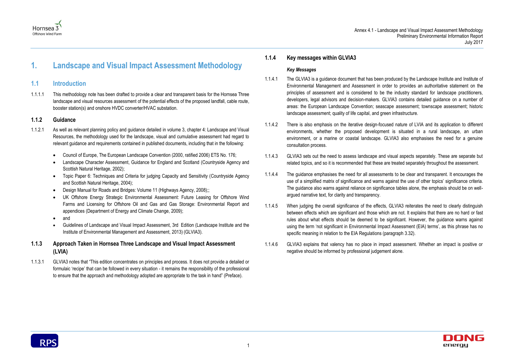### Hornsea 3 Offshore Wind Farm



## <span id="page-4-0"></span>**1. Landscape and Visual Impact Assessment Methodology**

### <span id="page-4-1"></span>**1.1 Introduction**

1.1.1.1 This methodology note has been drafted to provide a clear and transparent basis for the Hornsea Three landscape and visual resources assessment of the potential effects of the proposed landfall, cable route, booster station(s) and onshore HVDC converter/HVAC substation.

#### **1.1.2 Guidance**

- 1.1.2.1 As well as relevant planning policy and guidance detailed in volume 3, chapter 4: Landscape and Visual Resources, the methodology used for the landscape, visual and cumulative assessment had regard to relevant guidance and requirements contained in published documents, including that in the following:
	- Council of Europe, The European Landscape Convention (2000, ratified 2006) ETS No. 176;
	- Landscape Character Assessment, Guidance for England and Scotland (Countryside Agency and Scottish Natural Heritage, 2002);
	- Topic Paper 6: Techniques and Criteria for judging Capacity and Sensitivity (Countryside Agency and Scottish Natural Heritage, 2004);
	- Design Manual for Roads and Bridges: Volume 11 (Highways Agency, 2008);;
	- UK Offshore Energy Strategic Environmental Assessment: Future Leasing for Offshore Wind Farms and Licensing for Offshore Oil and Gas and Gas Storage: Environmental Report and appendices (Department of Energy and Climate Change, 2009);
	- and
	- Guidelines of Landscape and Visual Impact Assessment, 3rd Edition (Landscape Institute and the Institute of Environmental Management and Assessment, 2013) (GLVIA3).
- **1.1.3 Approach Taken in Hornsea Three Landscape and Visual Impact Assessment (LVIA)**
- 1.1.3.1 GLVIA3 notes that "This edition concentrates on principles and process. It does not provide a detailed or formulaic 'recipe' that can be followed in every situation - it remains the responsibility of the professional to ensure that the approach and methodology adopted are appropriate to the task in hand" (Preface).

#### **1.1.4 Key messages within GLVIA3**

#### *Key Messages*

- 1.1.4.1 The GLVIA3 is a guidance document that has been produced by the Landscape Institute and Institute of Environmental Management and Assessment in order to provides an authoritative statement on the principles of assessment and is considered to be the industry standard for landscape practitioners, developers, legal advisors and decision-makers. GLVIA3 contains detailed guidance on a number of areas: the European Landscape Convention; seascape assessment; townscape assessment; historic landscape assessment; quality of life capital, and green infrastructure.
- 1.1.4.2 There is also emphasis on the iterative design-focused nature of LVIA and its application to different environments, whether the proposed development is situated in a rural landscape, an urban environment, or a marine or coastal landscape. GLVIA3 also emphasises the need for a genuine consultation process.
- 1.1.4.3 GLVIA3 sets out the need to assess landscape and visual aspects separately. These are separate but related topics, and so it is recommended that these are treated separately throughout the assessment.
- 1.1.4.4 The guidance emphasises the need for all assessments to be clear and transparent. It encourages the use of a simplified matrix of significance and warns against the use of other topics' significance criteria. The guidance also warns against reliance on significance tables alone, the emphasis should be on wellargued narrative text, for clarity and transparency.
- 1.1.4.5 When judging the overall significance of the effects, GLVIA3 reiterates the need to clearly distinguish between effects which are significant and those which are not. It explains that there are no hard or fast rules about what effects should be deemed to be significant. However, the guidance warns against using the term 'not significant in Environmental Impact Assessment (EIA) terms', as this phrase has no specific meaning in relation to the EIA Regulations (paragraph 3.32).
- 1.1.4.6 GLVIA3 explains that valency has no place in impact assessment. Whether an impact is positive or negative should be informed by professional judgement alone.

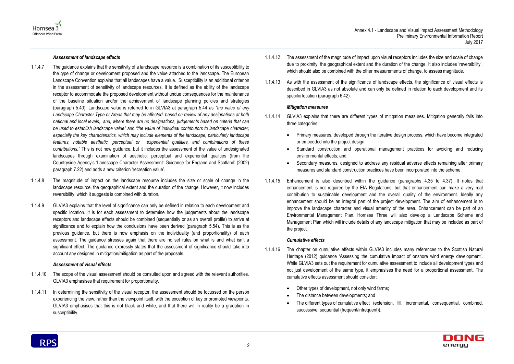

#### *Assessment of landscape effects*

- 1.1.4.7 The guidance explains that the sensitivity of a landscape resource is a combination of its susceptibility to the type of change or development proposed and the value attached to the landscape. The European Landscape Convention explains that all landscapes have a value. Susceptibility is an additional criterion in the assessment of sensitivity of landscape resources. It is defined as the ability of the landscape receptor to accommodate the proposed development without undue consequences for the maintenance of the baseline situation and/or the achievement of landscape planning policies and strategies (paragraph 5.40). Landscape value is referred to in GLVIA3 at paragraph 5.44 as *"the value of any Landscape Character Type or Areas that may be affected, based on review of any designations at both national and local levels, and, where there are no designations, judgements based on criteria that can be used to establish landscape value"* and *"the value of individual contributors to landscape character, especially the key characteristics, which may include elements of the landscape, particularly landscape features, notable aesthetic, perceptual or experiential qualities, and combinations of these contributions."* This is not new guidance, but it includes the assessment of the value of undesignated landscapes through examination of aesthetic, perceptual and experiential qualities (from the Countryside Agency's 'Landscape Character Assessment: Guidance for England and Scotland' (2002) paragraph 7.22) and adds a new criterion 'recreation value'.
- 1.1.4.8 The magnitude of impact on the landscape resource includes the size or scale of change in the landscape resource, the geographical extent and the duration of the change. However, it now includes reversibility, which it suggests is combined with duration.
- 1.1.4.9 GLVIA3 explains that the level of significance can only be defined in relation to each development and specific location. It is for each assessment to determine how the judgements about the landscape receptors and landscape effects should be combined (sequentially or as an overall profile) to arrive at significance and to explain how the conclusions have been derived (paragraph 5.54). This is as the previous guidance, but there is now emphasis on the individuality (and proportionality) of each assessment. The guidance stresses again that there are no set rules on what is and what isn't a significant effect. The guidance expressly states that the assessment of significance should take into account any designed in mitigation/mitigation as part of the proposals.

#### *Assessment of visual effects*

- 1.1.4.10 The scope of the visual assessment should be consulted upon and agreed with the relevant authorities. GLVIA3 emphasises that requirement for proportionality.
- 1.1.4.11 In determining the sensitivity of the visual receptor, the assessment should be focussed on the person experiencing the view, rather than the viewpoint itself, with the exception of key or promoted viewpoints. GLVIA3 emphasises that this is not black and white, and that there will in reality be a gradation in susceptibility.

1.1.4.12 The assessment of the magnitude of impact upon visual receptors includes the size and scale of change

- due to proximity, the geographical extent and the duration of the change. It also includes 'reversibility', which should also be combined with the other measurements of change, to assess magnitude.
- 1.1.4.13 As with the assessment of the significance of landscape effects, the significance of visual effects is described in GLVIA3 as not absolute and can only be defined in relation to each development and its specific location (paragraph 6.42).

#### *Mitigation measures*

Primary measures, developed through the iterative design process, which have become integrated



- 1.1.4.14 GLVIA3 explains that there are different types of mitigation measures. Mitigation generally falls into three categories:
	- or embedded into the project design;
	- Standard construction and operational management practices for avoiding and reducing environmental effects; and
	- Secondary measures, designed to address any residual adverse effects remaining after primary measures and standard construction practices have been incorporated into the scheme.
- 1.1.4.15 Enhancement is also described within the guidance (paragraphs 4.35 to 4.37). It notes that enhancement is not required by the EIA Regulations, but that enhancement can make a very real contribution to sustainable development and the overall quality of the environment. Ideally any enhancement should be an integral part of the project development. The aim of enhancement is to improve the landscape character and visual amenity of the area. Enhancement can be part of an Environmental Management Plan. Hornsea Three will also develop a Landscape Scheme and Management Plan which will include details of any landscape mitigation that may be included as part of the project.

#### *Cumulative effects*

- 1.1.4.16 The chapter on cumulative effects within GLVIA3 includes many references to the Scottish Natural Heritage (2012) guidance 'Assessing the cumulative impact of onshore wind energy development'. While GLVIA3 sets out the requirement for cumulative assessment to include all development types and not just development of the same type, it emphasises the need for a proportional assessment. The cumulative effects assessment should consider:
	- Other types of development, not only wind farms;
	- The distance between developments; and
	- The different types of cumulative effect (extension, fill, incremental, consequential, combined, successive, sequential (frequent/infrequent)).

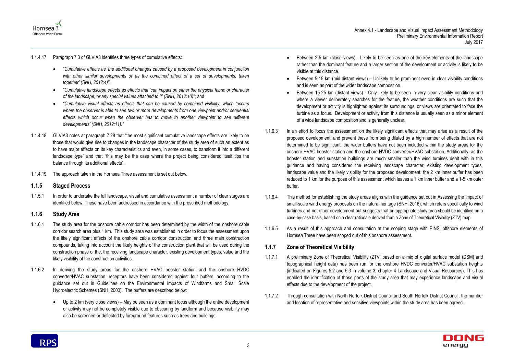

1.1.4.17 Paragraph 7.3 of GLVIA3 identifies three types of cumulative effects:

- *"Cumulative effects as 'the additional changes caused by a proposed development in conjunction*  with other similar developments or as the combined effect of a set of developments, taken *together' (SNH, 2012:4)"*;
- *"Cumulative landscape effects as effects that 'can impact on either the physical fabric or character of the landscape, or any special values attached to it' (SNH, 2012:10)"*; and
- *"Cumulative visual effects as effects that can be caused by combined visibility, which 'occurs where the observer is able to see two or more developments from one viewpoint and/or sequential effects which occur when the observer has to move to another viewpoint to see different developments' (SNH, 2012:11)."*
- 1.1.4.18 GLVIA3 notes at paragraph 7.28 that "the most significant cumulative landscape effects are likely to be those that would give rise to changes in the landscape character of the study area of such an extent as to have major effects on its key characteristics and even, in some cases, to transform it into a different landscape type" and that "this may be the case where the project being considered itself tips the balance through its additional effects".
- 1.1.4.19 The approach taken in the Hornsea Three assessment is set out below.

#### **1.1.5 Staged Process**

1.1.5.1 In order to undertake the full landscape, visual and cumulative assessment a number of clear stages are identified below. These have been addressed in accordance with the prescribed methodology.

#### **1.1.6 Study Area**

- 1.1.6.1 The study area for the onshore cable corridor has been determined by the width of the onshore cable corridor search area plus 1 km. This study area was established in order to focus the assessment upon the likely significant effects of the onshore cable corridor construction and three main construction compounds, taking into account the likely heights of the construction plant that will be used during the construction phase of the, the receiving landscape character, existing development types, value and the likely visibility of the construction activities.
- 1.1.6.2 In deriving the study areas for the onshore HVAC booster station and the onshore HVDC converter/HVAC substation, receptors have been considered against four buffers, according to the guidance set out in Guidelines on the Environmental Impacts of Windfarms and Small Scale Hydroelectric Schemes (SNH, 2000). The buffers are described below:
	- Up to 2 km (very close views) May be seen as a dominant focus although the entire development or activity may not be completely visible due to obscuring by landform and because visibility may also be screened or deflected by foreground features such as trees and buildings.

 Between 2-5 km (close views) - Likely to be seen as one of the key elements of the landscape rather than the dominant feature and a larger section of the development or activity is likely to be

Between 5-15 km (mid distant views) – Unlikely to be prominent even in clear visibility conditions

 Between 15-25 km (distant views) - Only likely to be seen in very clear visibility conditions and where a viewer deliberately searches for the feature, the weather conditions are such that the development or activity is highlighted against its surroundings, or views are orientated to face the turbine as a focus. Development or activity from this distance is usually seen as a minor element



- visible at this distance.
- and is seen as part of the wider landscape composition.
- of a wide landscape composition and is generally unclear.
- 1.1.6.3 In an effort to focus the assessment on the likely significant effects that may arise as a result of the proposed development, and prevent these from being diluted by a high number of effects that are not determined to be significant, the wider buffers have not been included within the study areas for the onshore HVAC booster station and the onshore HVDC converter/HVAC substation. Additionally, as the booster station and substation buildings are much smaller than the wind turbines dealt with in this guidance and having considered the receiving landscape character, existing development types, landscape value and the likely visibility for the proposed development, the 2 km inner buffer has been reduced to 1 km for the purpose of this assessment which leaves a 1 km inner buffer and a 1-5 km outer buffer.
- 1.1.6.4 This method for establishing the study areas aligns with the guidance set out in Assessing the impact of small-scale wind energy proposals on the natural heritage (SNH, 2016), which refers specifically to wind turbines and not other development but suggests that an appropriate study area should be identified on a case-by-case basis, based on a clear rationale derived from a Zone of Theoretical Visibility (ZTV) map.
- 1.1.6.5 As a result of this approach and consultation at the scoping stage with PINS, offshore elements of Hornsea Three have been scoped out of this onshore assessment.

#### **1.1.7 Zone of Theoretical Visibility**

- 1.1.7.1 A preliminary Zone of Theoretical Visibility (ZTV, based on a mix of digital surface model (DSM) and topographical height data) has been run for the onshore HVDC converter/HVAC substation heights (indicated on Figures 5.2 and 5.3 in volume 3, chapter 4 Landscape and Visual Resources). This has enabled the identification of those parts of the study area that may experience landscape and visual effects due to the development of the project.
- 1.1.7.2 Through consultation with North Norfolk District Council,and South Norfolk District Council, the number and location of representative and sensitive viewpoints within the study area has been agreed.

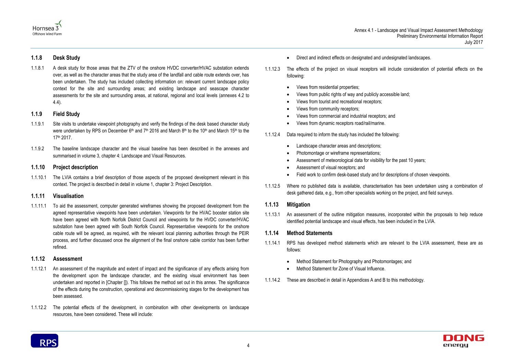



#### **1.1.8 Desk Study**

1.1.8.1 A desk study for those areas that the ZTV of the onshore HVDC converter/HVAC substation extends over, as well as the character areas that the study area of the landfall and cable route extends over, has been undertaken. The study has included collecting information on: relevant current landscape policy context for the site and surrounding areas; and existing landscape and seascape character assessments for the site and surrounding areas, at national, regional and local levels (annexes 4.2 to 4.4).

#### **1.1.9 Field Study**

- 1.1.9.1 Site visits to undertake viewpoint photography and verify the findings of the desk based character study were undertaken by RPS on December  $6<sup>th</sup>$  and  $7<sup>th</sup>$  2016 and March 8<sup>th</sup> to the 10<sup>th</sup> and March 15<sup>th</sup> to the 17th 2017.
- 1.1.9.2 The baseline landscape character and the visual baseline has been described in the annexes and summarised in volume 3, chapter 4: Landscape and Visual Resources.

#### **1.1.10 Project description**

1.1.10.1 The LVIA contains a brief description of those aspects of the proposed development relevant in this context. The project is described in detail in volume 1, chapter 3: Project Description.

#### **1.1.11 Visualisation**

1.1.11.1 To aid the assessment, computer generated wireframes showing the proposed development from the agreed representative viewpoints have been undertaken. Viewpoints for the HVAC booster station site have been agreed with North Norfolk District Council and viewpoints for the HVDC converter/HVAC substation have been agreed with South Norfolk Council. Representative viewpoints for the onshore cable route will be agreed, as required, with the relevant local planning authorities through the PEIR process, and further discussed once the alignment of the final onshore cable corridor has been further refined.

#### **1.1.12 Assessment**

- 1.1.12.1 An assessment of the magnitude and extent of impact and the significance of any effects arising from the development upon the landscape character, and the existing visual environment has been undertaken and reported in [Chapter []). This follows the method set out in this annex. The significance of the effects during the construction, operational and decommissioning stages for the development has been assessed.
- 1.1.12.2 The potential effects of the development, in combination with other developments on landscape resources, have been considered. These will include:
- Direct and indirect effects on designated and undesignated landscapes.
- 1.1.12.3 The effects of the project on visual receptors will include consideration of potential effects on the following:
	- Views from residential properties;
	- Views from public rights of way and publicly accessible land;
	- Views from tourist and recreational receptors;
	- Views from community receptors;
	- Views from commercial and industrial receptors; and
	- Views from dynamic receptors road/rail/marine.

1.1.12.4 Data required to inform the study has included the following:

- Landscape character areas and descriptions;
- Photomontage or wireframe representations;
- Assessment of meteorological data for visibility for the past 10 years;
- Assessment of visual receptors; and
- Field work to confirm desk-based study and for descriptions of chosen viewpoints.
- 1.1.12.5 Where no published data is available, characterisation has been undertaken using a combination of desk gathered data, e.g., from other specialists working on the project, and field surveys.

#### **1.1.13 Mitigation**

1.1.13.1 An assessment of the outline mitigation measures, incorporated within the proposals to help reduce identified potential landscape and visual effects, has been included in the LVIA.

#### **1.1.14 Method Statements**

- 1.1.14.1 RPS has developed method statements which are relevant to the LVIA assessment, these are as follows:
	- Method Statement for Photography and Photomontages; and
	- Method Statement for Zone of Visual Influence.
- 1.1.14.2 These are described in detail in Appendices A and B to this methodology.

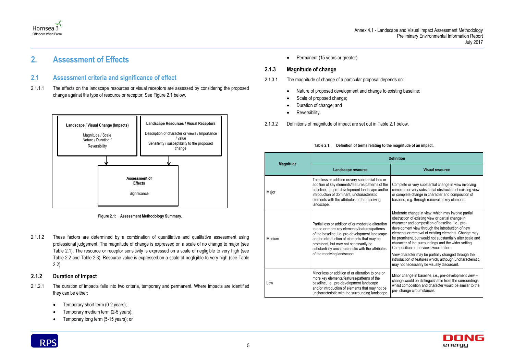



### <span id="page-8-0"></span>**2. Assessment of Effects**

#### <span id="page-8-1"></span>**2.1 Assessment criteria and significance of effect**

2.1.1.1 The effects on the landscape resources or visual receptors are assessed by considering the proposed change against the type of resource or receptor. See [Figure 2.1](#page-8-3) below.

- 2.1.2.1 The duration of impacts falls into two criteria, temporary and permanent. Where impacts are identified they can be either:
	- Temporary short term (0-2 years);
	- Temporary medium term (2-5 years);
	- Temporary long term (5-15 years); or



• Permanent (15 years or greater).

<span id="page-8-3"></span>2.1.1.2 These factors are determined by a combination of quantitative and qualitative assessment using professional judgement. The magnitude of change is expressed on a scale of no change to major (see [Table 2.1\)](#page-8-2). The resource or receptor sensitivity is expressed on a scale of negligible to very high (see [Table 2.2](#page-9-0) and [Table 2.3\)](#page-10-0). Resource value is expressed on a scale of negligible to very high (see [Table](#page-9-0)  [2.2\)](#page-9-0).

#### **2.1.2 Duration of Impact**

#### **2.1.3 Magnitude of change**

- 2.1.3.1 The magnitude of change of a particular proposal depends on:
	- Nature of proposed development and change to existing baseline;
	- Scale of proposed change;
	- Duration of change; and
	- Reversibility.

2.1.3.2 Definitions of magnitude of impact are set out in [Table 2.1](#page-8-2) below.

#### **Table 2.1: Definition of terms relating to the magnitude of an impact.**



**Figure 2.1: Assessment Methodology Summary.**

<span id="page-8-2"></span>

|                  |        | <b>Definition</b>                                                                                                                                                                                                                                                                                                                   |                                                                                                                                                                                                                                                                                                                                                                                                                                                                                               |
|------------------|--------|-------------------------------------------------------------------------------------------------------------------------------------------------------------------------------------------------------------------------------------------------------------------------------------------------------------------------------------|-----------------------------------------------------------------------------------------------------------------------------------------------------------------------------------------------------------------------------------------------------------------------------------------------------------------------------------------------------------------------------------------------------------------------------------------------------------------------------------------------|
| <b>Magnitude</b> |        | Landscape resource                                                                                                                                                                                                                                                                                                                  | <b>Visual resource</b>                                                                                                                                                                                                                                                                                                                                                                                                                                                                        |
|                  | Major  | Total loss or addition or/very substantial loss or<br>addition of key elements/features/patterns of the<br>baseline, i.e. pre-development landscape and/or<br>introduction of dominant, uncharacteristic<br>elements with the attributes of the receiving<br>landscape.                                                             | Complete or very substantial change in view involving<br>complete or very substantial obstruction of existing view<br>or complete change in character and composition of<br>baseline, e.g. through removal of key elements.                                                                                                                                                                                                                                                                   |
|                  | Medium | Partial loss or addition of or moderate alteration<br>to one or more key elements/features/patterns<br>of the baseline, i.e. pre-development landscape<br>and/or introduction of elements that may be<br>prominent, but may not necessarily be<br>substantially uncharacteristic with the attributes<br>of the receiving landscape. | Moderate change in view: which may involve partial<br>obstruction of existing view or partial change in<br>character and composition of baseline, i.e., pre-<br>development view through the introduction of new<br>elements or removal of existing elements. Change may<br>be prominent, but would not substantially alter scale and<br>character of the surroundings and the wider setting.<br>Composition of the views would alter.<br>View character may be partially changed through the |
|                  |        |                                                                                                                                                                                                                                                                                                                                     | introduction of features which, although uncharacteristic,<br>may not necessarily be visually discordant.                                                                                                                                                                                                                                                                                                                                                                                     |
|                  | Low    | Minor loss or addition of or alteration to one or<br>more key elements/features/patterns of the<br>baseline, i.e., pre-development landscape<br>and/or introduction of elements that may not be<br>uncharacteristic with the surrounding landscape.                                                                                 | Minor change in baseline, i.e., pre-development view -<br>change would be distinguishable from the surroundings<br>whilst composition and character would be similar to the<br>pre- change circumstances.                                                                                                                                                                                                                                                                                     |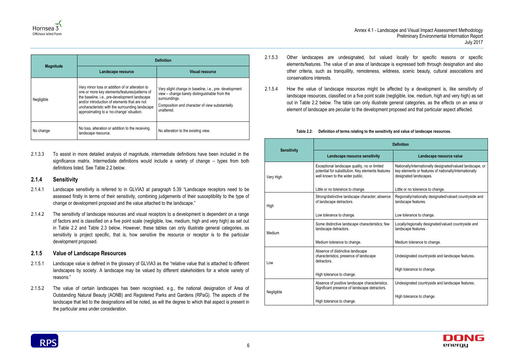

|                  | <b>Definition</b>                                                                                                                                                                                                                                                                                 |                                                                                                                                                                                          |
|------------------|---------------------------------------------------------------------------------------------------------------------------------------------------------------------------------------------------------------------------------------------------------------------------------------------------|------------------------------------------------------------------------------------------------------------------------------------------------------------------------------------------|
| <b>Magnitude</b> | Landscape resource                                                                                                                                                                                                                                                                                | <b>Visual resource</b>                                                                                                                                                                   |
| Negligible       | Very minor loss or addition of or alteration to<br>one or more key elements/features/patterns of<br>the baseline, i.e., pre-development landscape<br>and/or introduction of elements that are not<br>uncharacteristic with the surrounding landscape<br>approximating to a 'no-change' situation. | Very slight change in baseline, i.e., pre-development<br>view - change barely distinguishable from the<br>surroundings.<br>Composition and character of view substantially<br>unaltered. |
| No change        | No loss, alteration or addition to the receiving<br>landscape resource.                                                                                                                                                                                                                           | No alteration to the existing view.                                                                                                                                                      |

2.1.3.3 To assist in more detailed analysis of magnitude, intermediate definitions have been included in the significance matrix. Intermediate definitions would include a variety of change – types from both definitions listed. See [Table 2.2](#page-9-0) below.

#### **2.1.4 Sensitivity**

- 2.1.4.1 Landscape sensitivity is referred to in GLVIA3 at paragraph 5.39 "Landscape receptors need to be assessed firstly in terms of their sensitivity, combining judgements of their susceptibility to the type of change or development proposed and the value attached to the landscape."
- 2.1.4.2 The sensitivity of landscape resources and visual receptors to a development is dependent on a range of factors and is classified on a five point scale (negligible, low, medium, high and very high) as set out in [Table 2.2](#page-9-0) and [Table 2.3](#page-10-0) below. However, these tables can only illustrate general categories, as sensitivity is project specific, that is, how sensitive the resource or receptor is to the particular development proposed.

#### **2.1.5 Value of Landscape Resources**

- 2.1.5.1 Landscape value is defined in the glossary of GLVIA3 as the "relative value that is attached to different landscapes by society. A landscape may be valued by different stakeholders for a whole variety of reasons."
- 2.1.5.2 The value of certain landscapes has been recognised, e.g., the national designation of Area of Outstanding Natural Beauty (AONB) and Registered Parks and Gardens (RPaG). The aspects of the landscape that led to the designations will be noted, as will the degree to which that aspect is present in the particular area under consideration.
- 2.1.5.3 Other landscapes are undesignated, but valued locally for specific reasons or specific elements/features. The value of an area of landscape is expressed both through designation and also other criteria, such as tranquillity, remoteness, wildness, scenic beauty, cultural associations and conservations interests.
- 2.1.5.4 How the value of landscape resources might be affected by a development is, like sensitivity of landscape resources, classified on a five point scale (negligible, low, medium, high and very high) as set out in [Table 2.2](#page-9-0) below. The table can only illustrate general categories, as the effects on an area or element of landscape are peculiar to the development proposed and that particular aspect affected.

#### **Table 2.2: Definition of terms relating to the sensitivity and value of landscape resources.**

<span id="page-9-0"></span>

| <b>Sensitivity</b> |                                                                                                                                      | <b>Definition</b>                                                                                                                              |  |
|--------------------|--------------------------------------------------------------------------------------------------------------------------------------|------------------------------------------------------------------------------------------------------------------------------------------------|--|
|                    | Landscape resource sensitivity                                                                                                       | Landscape resource value                                                                                                                       |  |
| Very High          | Exceptional landscape quality, no or limited<br>potential for substitution. Key elements features<br>well known to the wider public. | Nationally/internationally designated/valued landscape, or<br>key elements or features of nationally/internationally<br>designated landscapes. |  |
|                    | Little or no tolerance to change.                                                                                                    | Little or no tolerance to change.                                                                                                              |  |
| High               | Strong/distinctive landscape character; absence<br>of landscape detractors.                                                          | Regionally/nationally designated/valued countryside and<br>landscape features.                                                                 |  |
|                    | Low tolerance to change.                                                                                                             | Low tolerance to change.                                                                                                                       |  |
| Medium             | Some distinctive landscape characteristics; few<br>landscape detractors.                                                             | Locally/regionally designated/valued countryside and<br>landscape features.                                                                    |  |
|                    | Medium tolerance to change.                                                                                                          | Medium tolerance to change.                                                                                                                    |  |
| Low                | Absence of distinctive landscape<br>characteristics; presence of landscape<br>detractors.                                            | Undesignated countryside and landscape features.                                                                                               |  |
|                    | High tolerance to change.                                                                                                            | High tolerance to change.                                                                                                                      |  |
|                    | Absence of positive landscape characteristics.<br>Significant presence of landscape detractors.                                      | Undesignated countryside and landscape features.                                                                                               |  |
| Negligible         | High tolerance to change.                                                                                                            | High tolerance to change.                                                                                                                      |  |

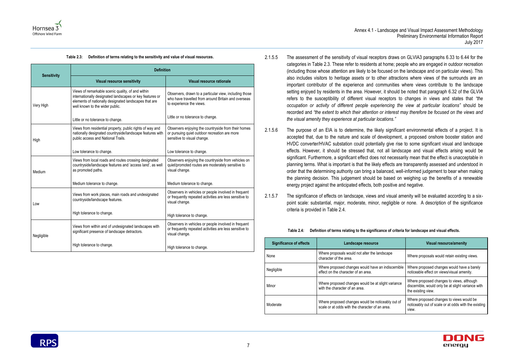

#### **Table 2.3: Definition of terms relating to the sensitivity and value of visual resources.**

<span id="page-10-0"></span>

|                    | <b>Definition</b>                                                                                                                                                                                         |                                                                                                                                           |  |
|--------------------|-----------------------------------------------------------------------------------------------------------------------------------------------------------------------------------------------------------|-------------------------------------------------------------------------------------------------------------------------------------------|--|
| <b>Sensitivity</b> | <b>Visual resource sensitivity</b>                                                                                                                                                                        | <b>Visual resource rationale</b>                                                                                                          |  |
| Very High          | Views of remarkable scenic quality, of and within<br>internationally designated landscapes or key features or<br>elements of nationally designated landscapes that are<br>well known to the wider public. | Observers, drawn to a particular view, including those<br>who have travelled from around Britain and overseas<br>to experience the views. |  |
|                    | Little or no tolerance to change.                                                                                                                                                                         | Little or no tolerance to change.                                                                                                         |  |
| High               | Views from residential property, public rights of way and<br>nationally designated countryside/landscape features with<br>public access and National Trails.                                              | Observers enjoying the countryside from their homes<br>or pursuing quiet outdoor recreation are more<br>sensitive to visual change.       |  |
|                    | Low tolerance to change.                                                                                                                                                                                  | Low tolerance to change.                                                                                                                  |  |
| Medium             | Views from local roads and routes crossing designated<br>countryside/landscape features and 'access land', as well<br>as promoted paths.                                                                  | Observers enjoying the countryside from vehicles on<br>quiet/promoted routes are moderately sensitive to<br>visual change.                |  |
|                    | Medium tolerance to change.                                                                                                                                                                               | Medium tolerance to change.                                                                                                               |  |
| Low                | Views from work places, main roads and undesignated<br>countryside/landscape features.                                                                                                                    | Observers in vehicles or people involved in frequent<br>or frequently repeated activities are less sensitive to<br>visual change.         |  |
|                    | High tolerance to change.                                                                                                                                                                                 | High tolerance to change.                                                                                                                 |  |
| Negligible         | Views from within and of undesignated landscapes with<br>significant presence of landscape detractors.                                                                                                    | Observers in vehicles or people involved in frequent<br>or frequently repeated activities are less sensitive to<br>visual change.         |  |
|                    | High tolerance to change.                                                                                                                                                                                 | High tolerance to change.                                                                                                                 |  |

#### 2.1.5.5 The assessment of the sensitivity of visual receptors draws on GLVIA3 paragraphs 6.33 to 6.44 for the categories in [Table 2.3.](#page-10-0) These refer to residents at home; people who are engaged in outdoor recreation (including those whose attention are likely to be focused on the landscape and on particular views). This also includes visitors to heritage assets or to other attractions where views of the surrounds are an important contributor of the experience and communities where views contribute to the landscape setting enjoyed by residents in the area. However, it should be noted that paragraph 6.32 of the GLVIA refers to the susceptibility of different visual receptors to changes in views and states that *"the occupation or activity of different people experiencing the view at particular locations"* should be recorded and *"the extent to which their attention or interest may therefore be focused on the views and the visual amenity they experience at particular locations."*

2.1.5.6 The purpose of an EIA is to determine, the likely significant environmental effects of a project. It is accepted that, due to the nature and scale of development, a proposed onshore booster station and HVDC converter/HVAC substation could potentially give rise to some significant visual and landscape effects. However, it should be stressed that, not all landscape and visual effects arising would be significant. Furthermore, a significant effect does not necessarily mean that the effect is unacceptable in planning terms. What is important is that the likely effects are transparently assessed and understood in order that the determining authority can bring a balanced, well-informed judgement to bear when making the planning decision. This judgement should be based on weighing up the benefits of a renewable energy project against the anticipated effects, both positive and negative.

2.1.5.7 The significance of effects on landscape, views and visual amenity will be evaluated according to a sixpoint scale: substantial, major, moderate, minor, negligible or none. A description of the significance criteria is provided in [Table 2.4.](#page-10-1)

#### **Table 2.4: Definition of terms relating to the significance of criteria for landscape and visual effects.**

<span id="page-10-1"></span>

| <b>Significance of effects</b> | Landscape resource                                                                                   | <b>Visual resource/amenity</b>                                                                                        |  |
|--------------------------------|------------------------------------------------------------------------------------------------------|-----------------------------------------------------------------------------------------------------------------------|--|
| None                           | Where proposals would not alter the landscape<br>character of the area.                              | Where proposals would retain existing views.                                                                          |  |
| Negligible                     | Where proposed changes would have an indiscernible<br>effect on the character of an area.            | Where proposed changes would have a barely<br>noticeable effect on views/visual amenity.                              |  |
| Minor                          | Where proposed changes would be at slight variance<br>with the character of an area.                 | Where proposed changes to views, although<br>discernible, would only be at slight variance with<br>the existing view. |  |
| Moderate                       | Where proposed changes would be noticeably out of<br>scale or at odds with the character of an area. | Where proposed changes to views would be<br>noticeably out of scale or at odds with the existing<br>view.             |  |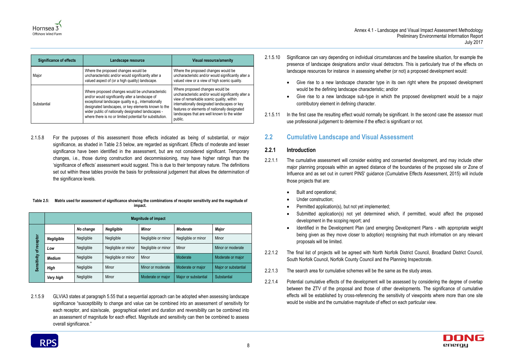| <b>Significance of effects</b> | Landscape resource                                                                                                                                                                                                                                                                                                                  | <b>Visual resource/amenity</b>                                                                                                                                                                                                                                                                 |  |
|--------------------------------|-------------------------------------------------------------------------------------------------------------------------------------------------------------------------------------------------------------------------------------------------------------------------------------------------------------------------------------|------------------------------------------------------------------------------------------------------------------------------------------------------------------------------------------------------------------------------------------------------------------------------------------------|--|
| Major                          | Where the proposed changes would be<br>uncharacteristic and/or would significantly alter a<br>valued aspect of (or a high quality) landscape.                                                                                                                                                                                       | Where the proposed changes would be<br>uncharacteristic and/or would significantly alter a<br>valued view or a view of high scenic quality.                                                                                                                                                    |  |
| Substantial                    | Where proposed changes would be uncharacteristic<br>and/or would significantly alter a landscape of<br>exceptional landscape quality e.g., internationally<br>designated landscapes, or key elements known to the<br>wider public of nationally designated landscapes -<br>where there is no or limited potential for substitution. | Where proposed changes would be<br>uncharacteristic and/or would significantly alter a<br>view of remarkable scenic quality, within<br>internationally designated landscapes or key<br>features or elements of nationally designated<br>landscapes that are well known to the wider<br>public. |  |

2.1.5.8 For the purposes of this assessment those effects indicated as being of substantial, or major significance, as shaded in [Table 2.5](#page-11-1) below, are regarded as significant. Effects of moderate and lesser significance have been identified in the assessment, but are not considered significant. Temporary changes, i.e., those during construction and decommissioning, may have higher ratings than the 'significance of effects' assessment would suggest. This is due to their temporary nature. The definitions set out within these tables provide the basis for professional judgement that allows the determination of the significance levels.

#### <span id="page-11-1"></span>**Table 2.5: Matrix used for assessment of significance showing the combinations of receptor sensitivity and the magnitude of impact.**

|             | <b>Magnitude of impact</b> |            |                     |                     |                      |                      |
|-------------|----------------------------|------------|---------------------|---------------------|----------------------|----------------------|
|             |                            | No change  | Negligible          | <b>Minor</b>        | <b>Moderate</b>      | <b>Major</b>         |
|             | Negligible                 | Negligible | Negligible          | Negligible or minor | Negligible or minor  | Minor                |
| of receptor | Low                        | Negligible | Negligible or minor | Negligible or minor | Minor                | Minor or moderate    |
|             | Medium                     | Negligible | Negligible or minor | Minor               | Moderate             | Moderate or major    |
| Sensitivity | <b>High</b>                | Negligible | Minor               | Minor or moderate   | Moderate or major    | Major or substantial |
|             | Very high                  | Negligible | Minor               | Moderate or major   | Major or substantial | Substantial          |

2.1.5.9 GLVIA3 states at paragraph 5.55 that a sequential approach can be adopted when assessing landscape significance "susceptibility to change and value can be combined into an assessment of sensitivity for each receptor, and size/scale, geographical extent and duration and reversibility can be combined into an assessment of magnitude for each effect. Magnitude and sensitivity can then be combined to assess overall significance."

- 2.1.5.10 Significance can vary depending on individual circumstances and the baseline situation, for example the presence of landscape designations and/or visual detractors. This is particularly true of the effects on landscape resources for instance in assessing whether (or not) a proposed development would:
	- Give rise to a new landscape character type in its own right where the proposed development would be the defining landscape characteristic; and/or
	- Give rise to a new landscape sub-type in which the proposed development would be a major contributory element in defining character.
- 2.1.5.11 In the first case the resulting effect would normally be significant. In the second case the assessor must use professional judgement to determine if the effect is significant or not.

### <span id="page-11-0"></span>**2.2 Cumulative Landscape and Visual Assessment**

#### **2.2.1 Introduction**

Submitted application(s) not yet determined which, if permitted, would affect the proposed

 Identified in the Development Plan (and emerging Development Plans - with appropriate weight being given as they move closer to adoption) recognising that much information on any relevant



- 2.2.1.1 The cumulative assessment will consider existing and consented development, and may include other major planning proposals within an agreed distance of the boundaries of the proposed site or Zone of Influence and as set out in current PINS' guidance (Cumulative Effects Assessment, 2015) will include those projects that are:
	- Built and operational;
	- Under construction;
	- Permitted application(s), but not yet implemented;
	- development in the scoping report; and
	- proposals will be limited.
- 2.2.1.2 The final list of projects will be agreed with North Norfolk District Council, Broadland District Council, South Norfolk Council, Norfolk County Council and the Planning Inspectorate.
- 2.2.1.3 The search area for cumulative schemes will be the same as the study areas.
- 2.2.1.4 Potential cumulative effects of the development will be assessed by considering the degree of overlap between the ZTV of the proposal and those of other developments. The significance of cumulative effects will be established by cross-referencing the sensitivity of viewpoints where more than one site would be visible and the cumulative magnitude of effect on each particular view.



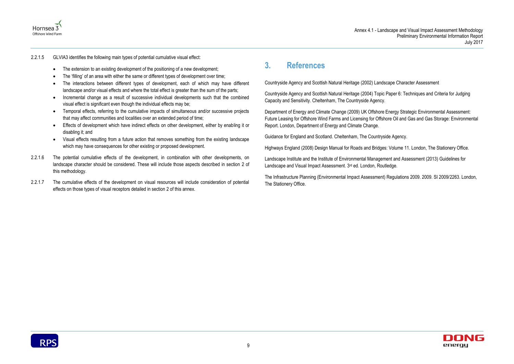

- 
- 
- 
- 
- 
- 
- 



#### 2.2.1.5 GLVIA3 identifies the following main types of potential cumulative visual effect:

- The extension to an existing development of the positioning of a new development;
- The 'filling' of an area with either the same or different types of development over time;
- The interactions between different types of development, each of which may have different landscape and/or visual effects and where the total effect is greater than the sum of the parts;
- Incremental change as a result of successive individual developments such that the combined visual effect is significant even though the individual effects may be;
- Temporal effects, referring to the cumulative impacts of simultaneous and/or successive projects that may affect communities and localities over an extended period of time;
- Effects of development which have indirect effects on other development, either by enabling it or disabling it; and
- Visual effects resulting from a future action that removes something from the existing landscape which may have consequences for other existing or proposed development.
- 2.2.1.6 The potential cumulative effects of the development, in combination with other developments, on landscape character should be considered. These will include those aspects described in section [2](#page-8-0) of this methodology.
- 2.2.1.7 The cumulative effects of the development on visual resources will include consideration of potential effects on those types of visual receptors detailed in section [2](#page-8-0) of this annex.

Landscape Institute and the Institute of Environmental Management and Assessment (2013) Guidelines for Landscape and Visual Impact Assessment. 3rd ed. London, Routledge.

### <span id="page-12-0"></span>**3. References**

Countryside Agency and Scottish Natural Heritage (2002) Landscape Character Assessment

Countryside Agency and Scottish Natural Heritage (2004) Topic Paper 6: Techniques and Criteria for Judging Capacity and Sensitivity. Cheltenham, The Countryside Agency.

Department of Energy and Climate Change (2009) UK Offshore Energy Strategic Environmental Assessment: Future Leasing for Offshore Wind Farms and Licensing for Offshore Oil and Gas and Gas Storage: Environmental Report. London, Department of Energy and Climate Change.

Guidance for England and Scotland. Cheltenham, The Countryside Agency.

Highways England (2008) Design Manual for Roads and Bridges: Volume 11. London, The Stationery Office.

The Infrastructure Planning (Environmental Impact Assessment) Regulations 2009. 2009. SI 2009/2263. London, The Stationery Office.

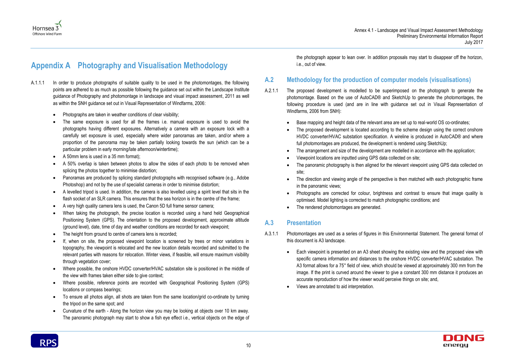• The direction and viewing angle of the perspective is then matched with each photographic frame





### <span id="page-13-0"></span>**Appendix A Photography and Visualisation Methodology**

- A.1.1.1 In order to produce photographs of suitable quality to be used in the photomontages, the following points are adhered to as much as possible following the guidance set out within the Landscape Institute guidance of Photography and photomontage in landscape and visual impact assessment, 2011 as well as within the SNH guidance set out in Visual Representation of Windfarms, 2006:
	- Photographs are taken in weather conditions of clear visibility;
	- The same exposure is used for all the frames i.e. manual exposure is used to avoid the photographs having different exposures. Alternatively a camera with an exposure lock with a carefully set exposure is used, especially where wider panoramas are taken, and/or where a proportion of the panorama may be taken partially looking towards the sun (which can be a particular problem in early morning/late afternoon/wintertime);
	- A 50mm lens is used in a 35 mm format);
	- A 50% overlap is taken between photos to allow the sides of each photo to be removed when splicing the photos together to minimise distortion;
	- Panoramas are produced by splicing standard photographs with recognised software (e.g., Adobe Photoshop) and not by the use of specialist cameras in order to minimise distortion;
	- A levelled tripod is used. In addition, the camera is also levelled using a spirit level that sits in the flash socket of an SLR camera. This ensures that the sea horizon is in the centre of the frame;
	- A very high quality camera lens is used, the Canon 5D full frame sensor camera;
	- When taking the photograph, the precise location is recorded using a hand held Geographical Positioning System (GPS). The orientation to the proposed development, approximate altitude (ground level), date, time of day and weather conditions are recorded for each viewpoint;
	- The height from ground to centre of camera lens is recorded;
	- If, when on site, the proposed viewpoint location is screened by trees or minor variations in topography, the viewpoint is relocated and the new location details recorded and submitted to the relevant parties with reasons for relocation. Winter views, if feasible, will ensure maximum visibility through vegetation cover;
	- Where possible, the onshore HVDC converter/HVAC substation site is positioned in the middle of the view with frames taken either side to give context;
	- Where possible, reference points are recorded with Geographical Positioning System (GPS) locations or compass bearings;
	- To ensure all photos align, all shots are taken from the same location/grid co-ordinate by turning the tripod on the same spot; and
	- Curvature of the earth Along the horizon view you may be looking at objects over 10 km away. The panoramic photograph may start to show a fish eye effect i.e., vertical objects on the edge of

the photograph appear to lean over. In addition proposals may start to disappear off the horizon, i.e., out of view.

### **A.2 Methodology for the production of computer models (visualisations)**

- A.2.1.1 The proposed development is modelled to be superimposed on the photograph to generate the photomontage. Based on the use of AutoCAD® and SketchUp to generate the photomontages, the following procedure is used (and are in line with guidance set out in Visual Representation of Windfarms, 2006 from SNH):
	- Base mapping and height data of the relevant area are set up to real-world OS co-ordinates;
	- The proposed development is located according to the scheme design using the correct onshore HVDC converter/HVAC substation specification. A wireline is produced in AutoCAD® and where full photomontages are produced, the development is rendered using SketchUp;
	- The arrangement and size of the development are modelled in accordance with the application; Viewpoint locations are inputted using GPS data collected on site;
	-
	- The panoramic photography is then aligned for the relevant viewpoint using GPS data collected on site;
	- in the panoramic views;
	- optimised. Model lighting is corrected to match photographic conditions; and
	- The rendered photomontages are generated.

Photographs are corrected for colour, brightness and contrast to ensure that image quality is

#### **A.3 Presentation**

- A.3.1.1 Photomontages are used as a series of figures in this Environmental Statement. The general format of this document is A3 landscape.
	- accurate reproduction of how the viewer would perceive things on site; and,
	- Views are annotated to aid interpretation.



 Each viewpoint is presented on an A3 sheet showing the existing view and the proposed view with specific camera information and distances to the onshore HVDC converter/HVAC substation. The A3 format allows for a 75° field of view, which should be viewed at approximately 300 mm from the image. If the print is curved around the viewer to give a constant 300 mm distance it produces an